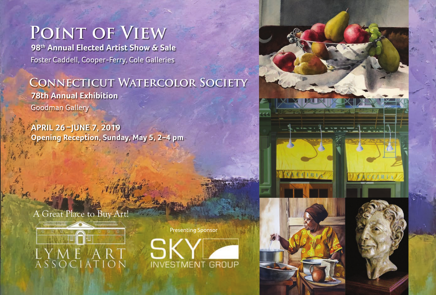# **Point of View**

 **98th Annual Elected Artist Show & Sale** Foster Caddell, Cooper-Ferry, Cole Galleries

### **Connecticut Watercolor Society 78th Annual Exhibition** Goodman Gallery

**APRIL 26 –JUNE 7, 2019 Opening Reception, Sunday, May 5, 2–4 pm**

### A Great Place to Buy Art!



Presenting Sponsor